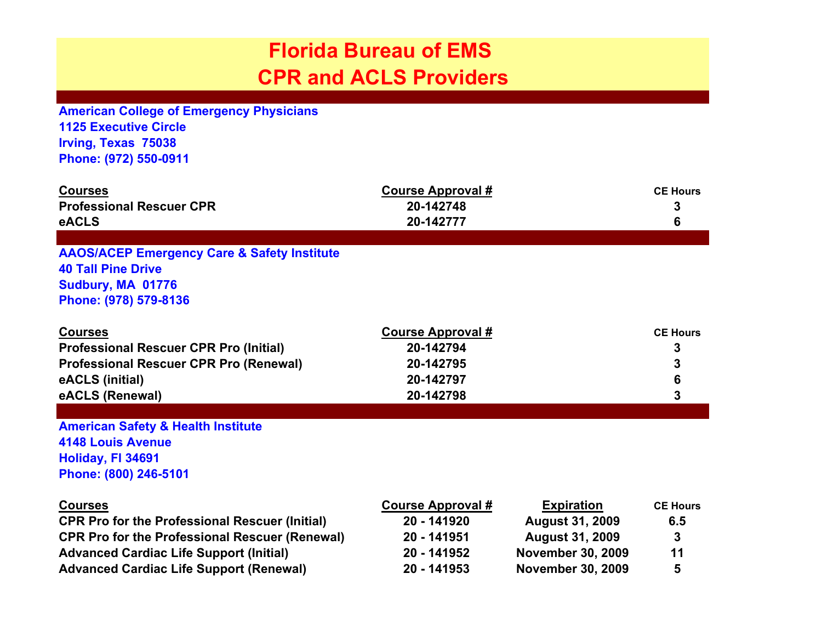## **Florida Bureau of EMS CPR and ACLS Providers**

**American College of Emergency Physicians 1125 Executive Circle Irving, Texas 75038 Phone: (972) 550-0911**

| <b>Courses</b><br><b>Professional Rescuer CPR</b><br>eACLS                                                                                                                                                                           | <b>Course Approval #</b><br>20-142748<br>20-142777                                   |                                                                                                                               | <b>CE Hours</b><br>3<br>6              |
|--------------------------------------------------------------------------------------------------------------------------------------------------------------------------------------------------------------------------------------|--------------------------------------------------------------------------------------|-------------------------------------------------------------------------------------------------------------------------------|----------------------------------------|
|                                                                                                                                                                                                                                      |                                                                                      |                                                                                                                               |                                        |
| <b>AAOS/ACEP Emergency Care &amp; Safety Institute</b><br><b>40 Tall Pine Drive</b><br>Sudbury, MA 01776<br>Phone: (978) 579-8136                                                                                                    |                                                                                      |                                                                                                                               |                                        |
| <b>Courses</b><br><b>Professional Rescuer CPR Pro (Initial)</b><br><b>Professional Rescuer CPR Pro (Renewal)</b><br>eACLS (initial)<br>eACLS (Renewal)                                                                               | <b>Course Approval #</b><br>20-142794<br>20-142795<br>20-142797<br>20-142798         |                                                                                                                               | <b>CE Hours</b><br>3<br>6<br>3         |
| <b>American Safety &amp; Health Institute</b><br><b>4148 Louis Avenue</b><br>Holiday, FI 34691<br>Phone: (800) 246-5101                                                                                                              |                                                                                      |                                                                                                                               |                                        |
| <b>Courses</b><br><b>CPR Pro for the Professional Rescuer (Initial)</b><br><b>CPR Pro for the Professional Rescuer (Renewal)</b><br><b>Advanced Cardiac Life Support (Initial)</b><br><b>Advanced Cardiac Life Support (Renewal)</b> | <b>Course Approval #</b><br>20 - 141920<br>20 - 141951<br>20 - 141952<br>20 - 141953 | <b>Expiration</b><br><b>August 31, 2009</b><br><b>August 31, 2009</b><br><b>November 30, 2009</b><br><b>November 30, 2009</b> | <b>CE Hours</b><br>6.5<br>3<br>11<br>5 |